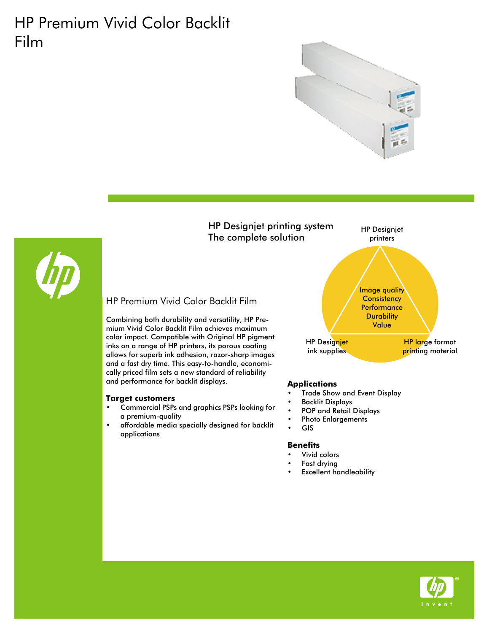# HP Premium Vivid Color Backlit Film





- **Applications** Trade Show and Event Display
- Backlit Displays
- POP and Retail Displays
- Photo Enlargements
- GIS

- Vivid colors
- Fast drying
- **Excellent handleability**





Combining both durability and versatility, HP Premium Vivid Color Backlit Film achieves maximum color impact. Compatible with Original HP pigment inks on a range of HP printers, its porous coating allows for superb ink adhesion, razor-sharp images and a fast dry time. This easy-to-handle, economically priced film sets a new standard of reliability and performance for backlit displays.

- **Target customers** Commercial PSPs and graphics PSPs looking for a premium-quality
- affordable media specially designed for backlit applications